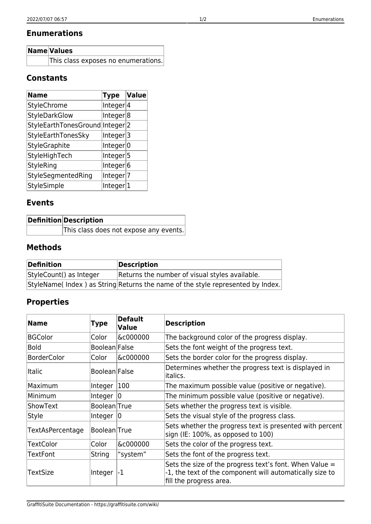### **Enumerations**

| Name Values                         |
|-------------------------------------|
| This class exposes no enumerations. |

#### **Constants**

| <b>Name</b>                     | Type                 | Value |
|---------------------------------|----------------------|-------|
| <b>StyleChrome</b>              | Integer 4            |       |
| <b>StyleDarkGlow</b>            | Integer <sup>8</sup> |       |
| StyleEarthTonesGround Integer 2 |                      |       |
| StyleEarthTonesSky              | Integer 3            |       |
| StyleGraphite                   | Integer 0            |       |
| StyleHighTech                   | Integer 5            |       |
| <b>StyleRing</b>                | Integer 6            |       |
| StyleSegmentedRing              | Integer 7            |       |
| StyleSimple                     | Integer 1            |       |

### **Events**

|  | <b>Definition Description</b>          |
|--|----------------------------------------|
|  | This class does not expose any events. |

## **Methods**

| Definition              | Description                                                                    |
|-------------------------|--------------------------------------------------------------------------------|
| StyleCount() as Integer | Returns the number of visual styles available.                                 |
|                         | StyleName(Index) as String Returns the name of the style represented by Index. |

# **Properties**

| <b>Name</b>        | Type                 | <b>Default</b><br>Value | <b>Description</b>                                                                                                                               |
|--------------------|----------------------|-------------------------|--------------------------------------------------------------------------------------------------------------------------------------------------|
| <b>BGColor</b>     | Color                | &c000000                | The background color of the progress display.                                                                                                    |
| <b>Bold</b>        | Boolean False        |                         | Sets the font weight of the progress text.                                                                                                       |
| <b>BorderColor</b> | Color                | &c000000                | Sets the border color for the progress display.                                                                                                  |
| <b>Italic</b>      | <b>Boolean</b> False |                         | Determines whether the progress text is displayed in<br>italics.                                                                                 |
| Maximum            | Integer              | 100                     | The maximum possible value (positive or negative).                                                                                               |
| Minimum            | Integer $ 0 $        |                         | The minimum possible value (positive or negative).                                                                                               |
| ShowText           | Boolean True         |                         | Sets whether the progress text is visible.                                                                                                       |
| Style              | Integer $ 0 $        |                         | Sets the visual style of the progress class.                                                                                                     |
| TextAsPercentage   | Boolean True         |                         | Sets whether the progress text is presented with percent<br>sign (IE: 100%, as opposed to 100)                                                   |
| <b>TextColor</b>   | Color                | &c000000                | Sets the color of the progress text.                                                                                                             |
| TextFont           | <b>String</b>        | "system"                | Sets the font of the progress text.                                                                                                              |
| <b>TextSize</b>    | Integer              | $\mathsf{L}$            | Sets the size of the progress text's font. When Value $=$<br>-1, the text of the component will automatically size to<br>fill the progress area. |